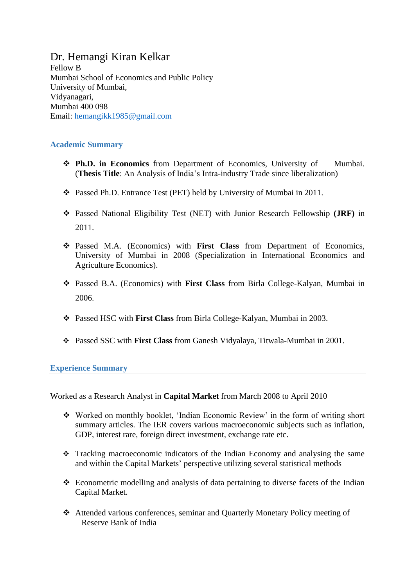## Dr. Hemangi Kiran Kelkar Fellow B Mumbai School of Economics and Public Policy University of Mumbai, Vidyanagari, Mumbai 400 098 Email: [hemangikk1985@gmail.com](mailto:hemangikk1985@gmail.com)

## **Academic Summary**

- **Ph.D. in Economics** from Department of Economics, University of Mumbai. (**Thesis Title**: An Analysis of India"s Intra-industry Trade since liberalization)
- Passed Ph.D. Entrance Test (PET) held by University of Mumbai in 2011.
- Passed National Eligibility Test (NET) with Junior Research Fellowship **(JRF)** in 2011.
- Passed M.A. (Economics) with **First Class** from Department of Economics, University of Mumbai in 2008 (Specialization in International Economics and Agriculture Economics).
- Passed B.A. (Economics) with **First Class** from Birla College-Kalyan, Mumbai in 2006.
- Passed HSC with **First Class** from Birla College-Kalyan, Mumbai in 2003.
- Passed SSC with **First Class** from Ganesh Vidyalaya, Titwala-Mumbai in 2001.

**Experience Summary**

Worked as a Research Analyst in **Capital Market** from March 2008 to April 2010

- Worked on monthly booklet, "Indian Economic Review" in the form of writing short summary articles. The IER covers various macroeconomic subjects such as inflation, GDP, interest rare, foreign direct investment, exchange rate etc.
- Tracking macroeconomic indicators of the Indian Economy and analysing the same and within the Capital Markets" perspective utilizing several statistical methods
- Econometric modelling and analysis of data pertaining to diverse facets of the Indian Capital Market.
- Attended various conferences, seminar and Quarterly Monetary Policy meeting of Reserve Bank of India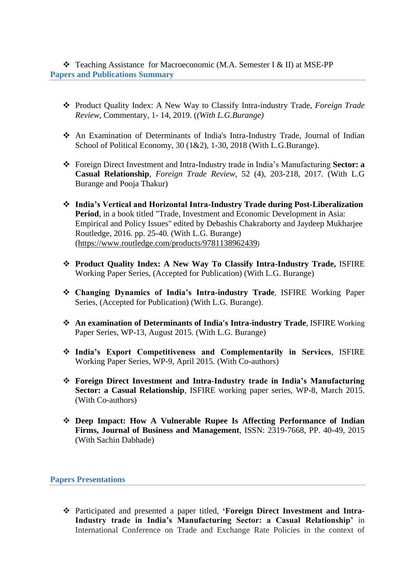Teaching Assistance for Macroeconomic (M.A. Semester I & II) at MSE-PP **Papers and Publications Summary**

- Product Quality Index: A New Way to Classify Intra-industry Trade, *Foreign Trade Review*, Commentary, 1- 14, 2019. (*(With L.G.Burange)*
- An Examination of Determinants of India's Intra-Industry Trade, Journal of Indian School of Political Economy, 30 (1&2), 1-30, 2018 (With L.G.Burange).
- Foreign Direct Investment and Intra-Industry trade in India"s Manufacturing **Sector: a Casual Relationship**, *Foreign Trade Review*, 52 (4), 203-218, 2017. (With L.G Burange and Pooja Thakur)
- **India's Vertical and Horizontal Intra-Industry Trade during Post-Liberalization Period**, in a book titled "Trade, Investment and Economic Development in Asia: Empirical and Policy Issues" edited by Debashis Chakraborty and Jaydeep Mukharjee Routledge, 2016. pp. 25-40. (With L.G. Burange) [\(https://www.routledge.com/products/9781138962439](https://www.routledge.com/products/9781138962439))
- **Product Quality Index: A New Way To Classify Intra-Industry Trade,** ISFIRE Working Paper Series, (Accepted for Publication) (With L.G. Burange)
- **Changing Dynamics of India's Intra-industry Trade**, ISFIRE Working Paper Series, (Accepted for Publication) (With L.G. Burange).
- **An examination of Determinants of India's Intra-industry Trade**, ISFIRE Working Paper Series, WP-13, August 2015. (With L.G. Burange)
- **India's Export Competitiveness and Complementarily in Services**, ISFIRE Working Paper Series, WP-9, April 2015. (With Co-authors)
- **Foreign Direct Investment and Intra-Industry trade in India's Manufacturing Sector: a Casual Relationship**, ISFIRE working paper series, WP-8, March 2015. (With Co-authors)
- **Deep Impact: How A Vulnerable Rupee Is Affecting Performance of Indian Firms, Journal of Business and Management**, ISSN: 2319-7668, PP. 40-49, 2015 (With Sachin Dabhade)

**Papers Presentations**

 Participated and presented a paper titled, **'Foreign Direct Investment and Intra-Industry trade in India's Manufacturing Sector: a Casual Relationship'** in International Conference on Trade and Exchange Rate Policies in the context of